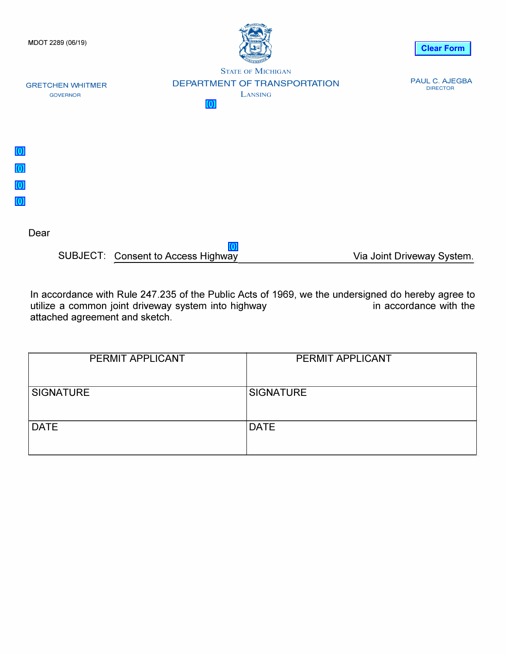

SUBJECT: Consent to Access Highway Via Joint Driveway System. **(i)**

In accordance with Rule 247.235 of the Public Acts of 1969, we the undersigned do hereby agree to utilize a common joint driveway system into highway utilize a common joint driveway system into highway attached agreement and sketch.

| PERMIT APPLICANT | <b>PERMIT APPLICANT</b> |
|------------------|-------------------------|
| <b>SIGNATURE</b> | <b>SIGNATURE</b>        |
| <b>DATE</b>      | <b>DATE</b>             |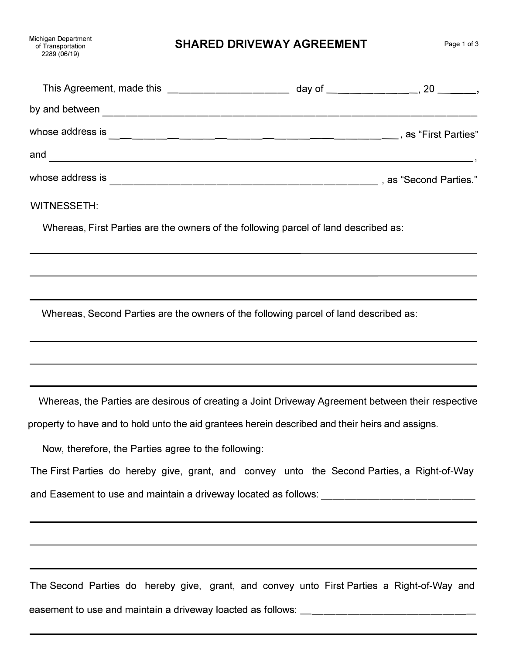**SHARED DRIVEWAY AGREEMENT** Page 1 of 3

|                  | day of _____________________, 20 _______, |
|------------------|-------------------------------------------|
| by and between   |                                           |
| whose address is | s as "First Parties"                      |
| and              |                                           |
| whose address is | as "Second Parties."                      |

## WITNESSETH:

Whereas, First Parties are the owners of the following parcel of land described as:

Whereas, Second Parties are the owners of the following parcel of land described as:

Whereas, the Parties are desirous of creating a Joint Driveway Agreement between their respective

property to have and to hold unto the aid grantees herein described and their heirs and assigns.

Now, therefore, the Parties agree to the following:

The First Parties do hereby give, grant, and convey unto the Second Parties, a Right-of-Way and Easement to use and maintain a driveway located as follows:

The Second Parties do hereby give, grant, and convey unto First Parties a Right-of-Way and easement to use and maintain a driveway loacted as follows: \_\_\_\_\_\_\_\_\_\_\_\_\_\_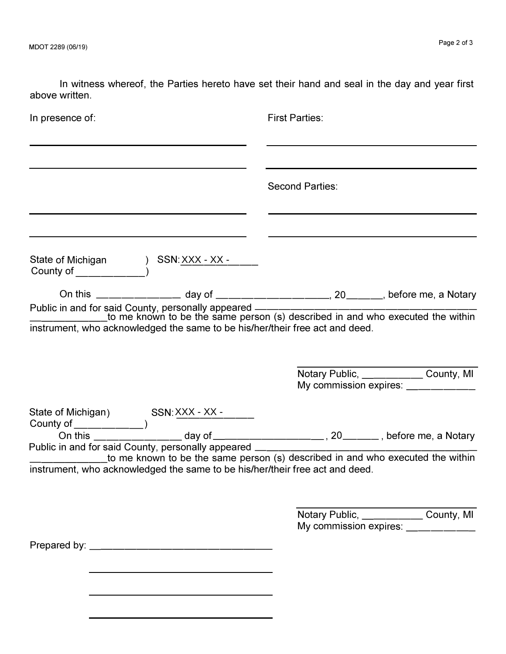In witness whereof, the Parties hereto have set their hand and seal in the day and year first above written.

| In presence of:                                                                                                                           | <b>First Parties:</b>                                                          |  |
|-------------------------------------------------------------------------------------------------------------------------------------------|--------------------------------------------------------------------------------|--|
|                                                                                                                                           | <b>Second Parties:</b>                                                         |  |
| State of Michigan ) SSN: XXX - XX - _____<br>County of _____________)                                                                     |                                                                                |  |
|                                                                                                                                           |                                                                                |  |
| instrument, who acknowledged the same to be his/her/their free act and deed.                                                              | Notary Public, County, MI<br>My commission expires: ____________               |  |
|                                                                                                                                           |                                                                                |  |
| Public in and for said County, personally appeared ______<br>instrument, who acknowledged the same to be his/her/their free act and deed. | to me known to be the same person (s) described in and who executed the within |  |